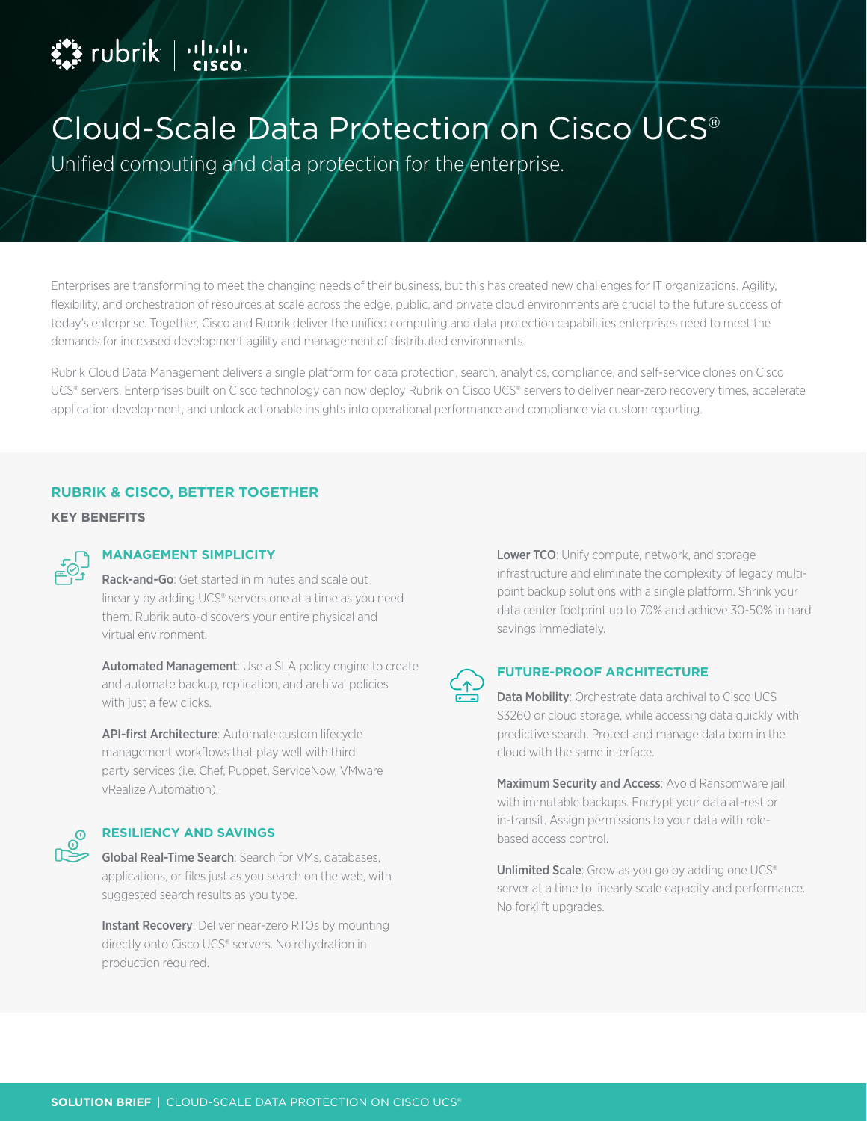# **External production**

## Cloud-Scale Data Protection on Cisco UCS®

Unified computing and data protection for the enterprise.

Enterprises are transforming to meet the changing needs of their business, but this has created new challenges for IT organizations. Agility, flexibility, and orchestration of resources at scale across the edge, public, and private cloud environments are crucial to the future success of today's enterprise. Together, Cisco and Rubrik deliver the unified computing and data protection capabilities enterprises need to meet the demands for increased development agility and management of distributed environments.

Rubrik Cloud Data Management delivers a single platform for data protection, search, analytics, compliance, and self-service clones on Cisco UCS® servers. Enterprises built on Cisco technology can now deploy Rubrik on Cisco UCS® servers to deliver near-zero recovery times, accelerate application development, and unlock actionable insights into operational performance and compliance via custom reporting.

#### **RUBRIK & CISCO, BETTER TOGETHER**

**KEY BENEFITS**



### **MANAGEMENT SIMPLICITY**

Rack-and-Go: Get started in minutes and scale out linearly by adding UCS® servers one at a time as you need them. Rubrik auto-discovers your entire physical and virtual environment.

**Automated Management:** Use a SLA policy engine to create and automate backup, replication, and archival policies with just a few clicks.

API-first Architecture: Automate custom lifecycle management workflows that play well with third party services (i.e. Chef, Puppet, ServiceNow, VMware vRealize Automation).



#### **RESILIENCY AND SAVINGS**

Global Real-Time Search: Search for VMs, databases, applications, or files just as you search on the web, with suggested search results as you type.

Instant Recovery: Deliver near-zero RTOs by mounting directly onto Cisco UCS® servers. No rehydration in production required.

Lower TCO: Unify compute, network, and storage infrastructure and eliminate the complexity of legacy multipoint backup solutions with a single platform. Shrink your data center footprint up to 70% and achieve 30-50% in hard savings immediately.



#### **FUTURE-PROOF ARCHITECTURE**

Data Mobility: Orchestrate data archival to Cisco UCS S3260 or cloud storage, while accessing data quickly with predictive search. Protect and manage data born in the cloud with the same interface.

Maximum Security and Access: Avoid Ransomware jail with immutable backups. Encrypt your data at-rest or in-transit. Assign permissions to your data with rolebased access control.

Unlimited Scale: Grow as you go by adding one UCS® server at a time to linearly scale capacity and performance. No forklift upgrades.